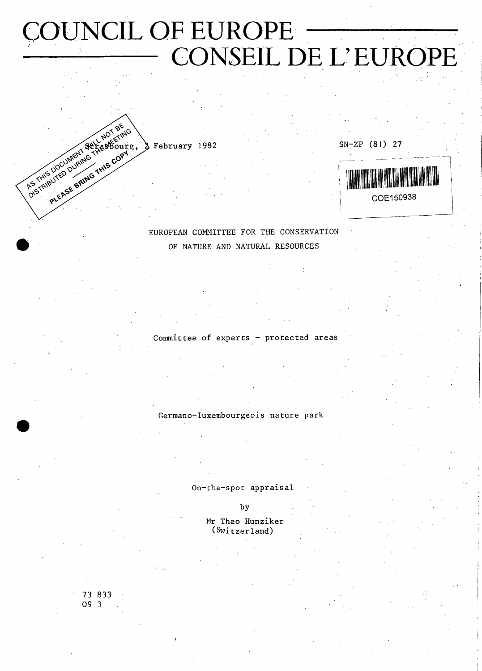# COUNCIL OF EUROPE CONSEIL DE L'EUROPE

SN-ZP (81) 27

M COE150938

EUROPEAN COMMITTEE FOR THE CONSERVATION OF NATURE AND NATURAL RESOURCES

Committee of experts  $-$  protected areas.

Germano-luxembourgeois nature park

On-the-spot appraisal

by

Mr Theo Hunziker (Switzerland)

73 833 09 3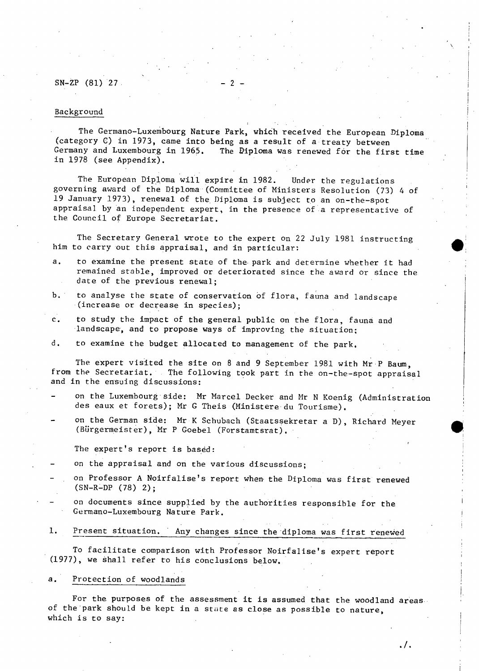$SN-ZP$  (81) 27.

#### Background

The Germano-Luxembourg Nature Park, which received the European Diploma (category G) in 1973, came into being as a result of a treaty between Germany and Luxembourg in 1965. The Diploma was renewed for the first time in 1978 (see Appendix).

The European Diploma will expire in 1982. Under the regulations governing award of the Diploma (Committee of Ministers Resolution (73) 4 of 19 January 1973), renewal of the Diploma is subject to an on-the-spot appraisal by an independent expert, in the presence of a representative of the Council of Europe Secretariat.

The Secretary General wrote to the expert on 22 July 1981 instructing him to carry out this appraisal, and in particular:

- a. to examine the present state of the park and determine whether it had remained stable, improved or deteriorated since the award or since the date of the previous renewal;
- b. to analyse the state of conservation of flora, fauna and landscape (increase or decrease in species);
- c. to study the impact of the general public on the flora, fauna and landscape, and to propose ways of improving the situation;
- d. to examine the budget allocated to management of the park.

The expert visited the site on 8 and 9 September 1981 with Mr P Baum, from the Secretariat. The following took part in the on-the-spot appraisal and in the ensuing discussions:

- on the Luxembourg side: Mr Marcel Decker and Mr N Koenig (Administration des eaux et forets); Mr G Theis (Ministère du Tourisme).
- on the German side: Mr K Schubach (Staatssekretär a D), Richard Meyer (Bürgermeister), Mr P Goebel (Forstamtsrat).

The expert's report is based:

- on the appraisal and on the various discussions;
- on Professor A Noirfalise's report when the Diploma was first renewed (SN-R-DP (78) 2);
	- on documents since supplied by the authorities responsible for the Germano-Luxembourg Nature Park.
- 1. Present situation. Any changes since the diploma was first renewed

To facilitate comparison with Professor Noirfalise's expert report (1977), we shall refer to his conclusions below.

#### a. Protection of woodlands

For the purposes of the assessment it is assumed that the woodland areas of the park should be kept in a state as close as possible to nature, which is to say: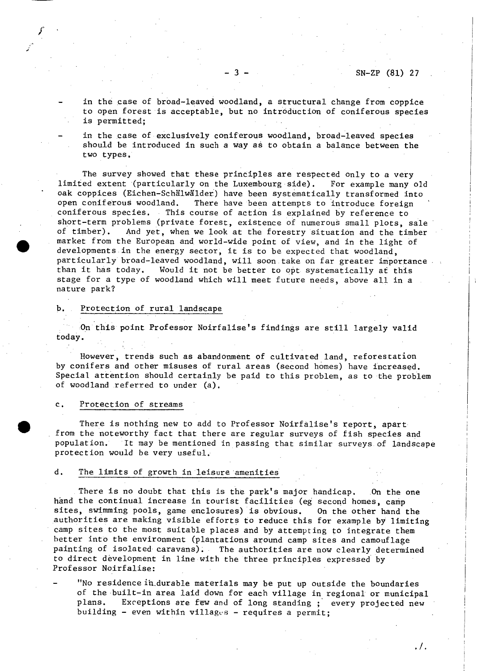$\cdot$ /.

in the case of broad-leaved woodland, a structural change from coppice to open forest is acceptable, but no introduction of coniferous species is permitted;

in the case of exclusively coniferous woodland, broad-leaved species should be introduced in such a way as to obtain a balance between the two types.

The survey showed that these principles are respected only to a very limited extent (particularly on the Luxembourg side). For example many old oak coppices (Eichen-Schälwälder) have been systematically transformed into<br>open coniferous woodland. There have been attempts to introduce foreign There have been attempts to introduce foreign coniferous species. This course of action is explained by reference to short-term problems (private forest, existence of numerous small plots, sale<br>of timber). And vet, when we look at the forestry situation and the timber And yet, when we look at the forestry situation and the timber market from the European and world-wide point of view, and in the light of developments in the energy sector, it is to be expected that woodland, particularly broad-leaved woodland, will soon take on far greater importance.<br>than it has today, Would it not be better to opt systematically at this Would it not be better to opt systematically at this stage for a type of woodland which will meet future needs, above all in a nature park?

#### b. Protection of rural landscape

On this point Professor Noirfalise's findings are still largely valid today.

However, trends such as abandonment of cultivated land, reforestation by conifers and other misuses of rural areas (second homes) have increased. Special attention should certainly be paid to this problem, as to the problem of woodland referred to under (a).

#### c. Protection of streams

There is nothing new to add to Professor Noirfalise's report, apart from the noteworthy fact that there are regular surveys of fish species and population. It may be mentioned in passing that similar surveys of landscape protection would be very useful.

#### d. The limits of growth in leisure amenities

There is no doubt that this is the park's major handicap. On the one hand the continual increase in tourist facilities (eg second homes, camp sites, swimming pools, game enclosures) is obvious. On the other hand the authorities are making visible efforts to reduce this for example by limiting camp sites to the most suitable places and by attempting to integrate them better into the environment (plantations around camp sites and camouflage painting of isolated caravans). The authorities are now clearly determined to direct development in line with the three principles expressed by Professor Noirfalise:

"No residence ih.durable materials may be put up outside the boundaries of the built-in area laid down for each village in regional or municipal plans. Exceptions are few and of long standing ; every projected new building - even within villages - requires a permit;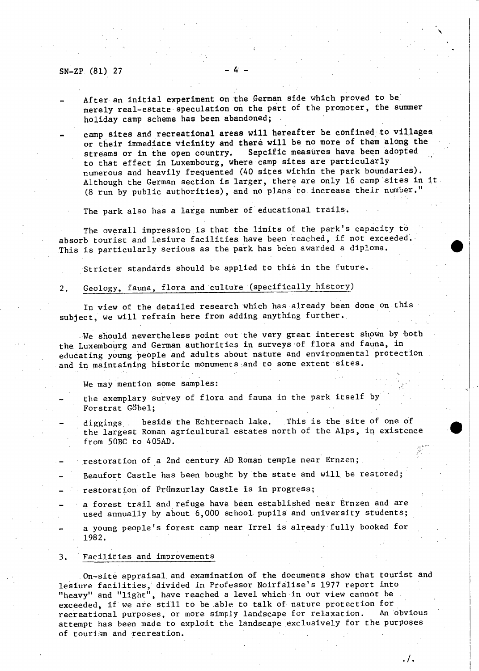#### SN-ZP (81) 27

- After an initial experiment on the German side which proved to be merely real-estate speculation on the part of the promoter, the summer holiday camp scheme has been abandoned;
- camp sites and recreational areas will hereafter be confined to villages or their immediate vicinity and therè will be no more of them along the streams or in the open country. Sepcific measures have been adopted to that effect in Luxembourg, where camp sites are particularly numerous and heavily frequented (40 sites within the park boundaries). Although the German section is larger, there are only 16 camp sites in it (8 run by public authorities), and no plans to increase their number."

The park also has a large number of educational trails.

The overall impression is that the limits of the park's capacity to absorb tourist and lesiure facilities have been reached, if not exceeded. This is particularly serious as the park has been awarded a diploma.

Stricter standards should be applied to this in the future.

# 2. Geology, fauna, flora and culture (specifically history)

In view of the detailed research which has already been done on this subject, we will refrain here from adding anything further.

We should nevertheless point out the very great interest shown by both the Luxembourg and German authorities in surveys of flora and fauna, in educating young people and adults about nature and environmental protection and in maintaining historic monuments and to some extent sites.

We may mention some samples:

the exemplary survey of flora and fauna in the park itself by Forstrat Göbel;

diggings beside the Echternach lake. This is the site of one of the largest Roman agricultural estates north of the Alps, in existence from 50BC to 405AD.

restoration of a 2nd century AD Roman temple near Ernzen;

Beaufort Castle has been bought by the state and will be restored;

- restoration of Prümzurlay Castle is in progress;
- a forest trail and refuge have been established near Ernzen and are used annually by about 6,000 school, pupils and university students;
- a young people's forest camp near Irrel is already fully booked for 1982.

#### 3. Facilities and improvements

On-site appraisal and examination of the documents show that tourist and lesiure facilities, divided in Professor Noirfalise's 1977 report into "heavy" and "light", have reached a level which in our view cannot be exceeded, if we are still to be able to talk of nature protection for<br>recreational purposes, or more simply landscape for relaxation. An obvious recreational purposes, or more simply landscape for relaxation. attempt has been made to exploit the landscape exclusively for the purposes of tourism and recreation.

**./.**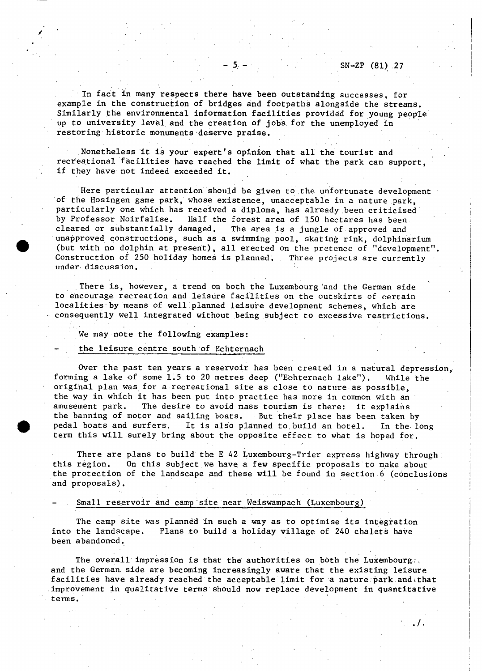$\ldots$ .

In fact In many respects there have been outstanding successes, for example in the construction of bridges and footpaths alongside the streams. Similarly the environmental information facilities provided for young people up to university level and the creation of jobs for the unemployed in restoring historic monuments deserve praise.

Nonetheless it is your expert's opinion that all the tourist and recreational facilities have reached the limit of what the park can support, if they have not indeed exceeded it.

Here particular attention should be given to the unfortunate development of the Hosingen game park, whose existence, unacceptable in a nature park, particularly one which has received a diploma, has already been criticised by Professor Noirfalise. Half the forest area of 150 hectares has been<br>cleared or substantially damaged. The area is a jungle of approved and The area is a jungle of approved and unapproved constructions, such as a swimming pool, skating rink, dolphinarium (but with no dolphin at present), all erected on the pretence of "development". Construction of 250 holiday homes is planned. Three projects are currently under, discussion.

There is, however, a trend on both the Luxembourg and the German side to encourage recreation and leisure facilities on the outskirts of certain localities by means of well planned leisure development schemes, which are consequently well integrated without being subject to excessive restrictions.

#### We may note the following examples:

## the leisure centre south of Echternach

Over the past ten years a reservoir has been created in a natural depression, forming a lake of some 1.5 to 20 metres deep ("Echternach lake"). While the original plan was for a recreational site as close to nature as possible, the way in which it has been put into practice has more in common with an amusement park. The desire to avoid mass tourism is there: it explains the banning of motor and sailing boats. But their place has been taken by pedal boats and surfers. It is also planned to build an hotel. In the long term this will surely bring about the opposite effect to what is hoped for.

There are plans to build the E 42 Luxembourg-Trier express highway through this region. On this subject we have a few specific proposals to make about the protection of the landscape and these will be found in section 6 (conclusions and proposals).

#### Small reservoir and camp site near Weiswampach (Luxembourg)

The camp site was plannéd in such a way as to optimise its integration into the landscape. Plans to build a holiday village of 240 chalets have been abandoned.

The overall impression is that the authorities on both the Luxembourg. and the German side are becoming increasingly aware that the existing leisure facilities have already reached the acceptable limit for a nature park and that improvement in qualitative terms should now replace development in quantitative terms.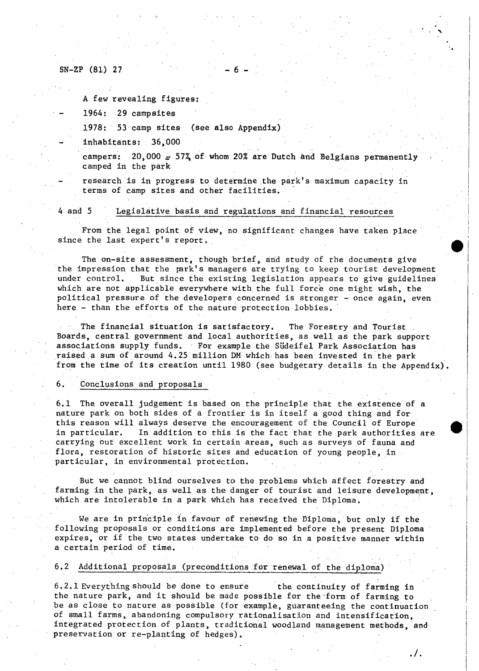#### $SN-ZP$  (81) 27

A few revealing figures:

1964: 29 campsites

1978: 53 camp sites (see also Appendix)

inhabitants: 36,000

campers:  $20,000 = 57\%$  of whom 20% are Dutch and Belgians permanently camped in the park

research is in progress to determine the park's maximum capacity in terms of camp sites and other facilities.

#### 4 and 5 Legislative basis and regulations and financial resources

From the legal point of view, no significant changes have taken place since the last expert's report.

The on-site assessment, though brief, and study of the documents give the impression that the park's managers are trying to keep tourist development<br>under control, But since the existing legislation appears to give guidelines But since the existing legislation appears to give guidelines which are not applicable everywhere with the full force one might wish, the political pressure of the developers concerned is stronger - once again, even here - than the efforts of the nature protection lobbies.

The financial situation is satisfactory. The Forestry and Tourist . Boards, central government and local authorities, as well as the park support associations supply funds. For example the Südeifel Park Association has raised a sum of around 4.25 million DM which has been invested in the park from the time of its creation until 1980 (see budgetary details in the Appendix)

## 6. Conclusions and proposals

6.1 The overall judgement is based on the principle that the existence of a nature park on both sides of a frontier is in itself a good thing and for this reason will always deserve the encouragement of the Council of Europe in particular. In addition to this is the fact that the park authorities are carrying out excellent work in certain areas, such as surveys of fauna and flora, restoration of historic sites and education of young people, in particular, in environmental protection.

But we cannot blind ourselves to the problems which affect forestry and farming in the park, as well as the danger of tourist and leisure development, which are intolerable in a park which has received the Diploma.

We are in principle in favour of renewing the Diploma, but only if the following proposals or conditions are implemented before the present Diploma expires, or if the two states undertake to do so in a positive manner within a certain period of time.

## 6.2 Additional proposals (preconditions for renewal of the diploma)

6.2.1 Everything should be done to ensure the continuity of farming in the nature park, and it should be made possible for the form of farming to be as close to nature as possible (for example, guaranteeing the continuation of small farms, abandoning compulsory rationalisation and intensification, integrated protection of plants, traditional woodland management methods, and preservation or re-planting of hedges).

. / .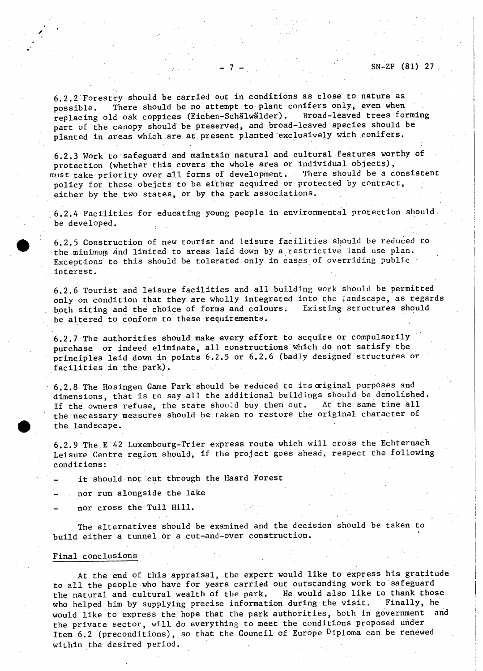6.2.2 Forestry should be carried out in conditions as close to nature as possible. There should be no attempt to plant conifers only, even when replacing old oak coppices (Eichen—Schälwälder). Broad-leaved trees forming part of the canopy should be preserved, and broad-leaved species should be planted in areas which are at present planted exclusively with conifers.

6.2.3 Work to safeguard and maintain natural and cültural features worthy of protection (whether this covers the whole area or individual objects), must take priority over all forms of development. There should be a consistent policy for these obejcts to be either acquired or protected by contract, either by the two states, or by the park associations.

6.2.4 Facilities for educating young people in environmental protection should be developed.

6.2.5 Construction of new tourist and leisure facilities should be reduced to the minimum and limited to areas laid down by a restrictive land use plan. Exceptions to this should be tolerated only in cases of overriding public interest.

6.2.6 Tourist and leisure facilities and all building work should be permitted only on condition that they are wholly integrated into the landscape, as regards<br>both siting and the choice of forms and colours. Existing structures should both siting and the choice of forms and colours. be altered to conform to these requirements.

6.2.7 The authorities should make every effort to acquire or compulsorily purchase or indeed eliminate, all constructions which do not satisfy the principles laid down in points 6.2.5 or 6.2.6 (badly designed structures or facilities in the park).

6.2.8 The Hosingen Game Park should be reduced to its criginal purposes and dimensions, that is to say all the additional buildings should be demolished. If the owners refuse, the state should buy them out. At the same time all the necessary measures should be taken to restore the original character of the landscape.

6.2.9 The.E 42 Luxembourg-Trier express route which will cross the Echternach Leisure Centre region should, if the project goes ahead, respect the following conditions:

it should not cut through the Haard Forest

nor run alongside the lake

nor cross the Tull Hill.

The alternatives should be examined and the decision should be taken to build either a tunnel ór a cut-and-over construction.

#### Final conclusions

At the end of this appraisal, the expert would like to express his gratitude to all the people who have for years carried out outstanding work to safeguard the natural and cultural wealth of the park. He would also like to thank those who helped him by supplying precise information during the visit. Finally, he would like to express the hope that the park authorities, both in government and the private sector, will do everything to meet the conditions proposed under Item 6.2 (preconditions), so that the Council of Europe Diploma can be renewed within the desired period.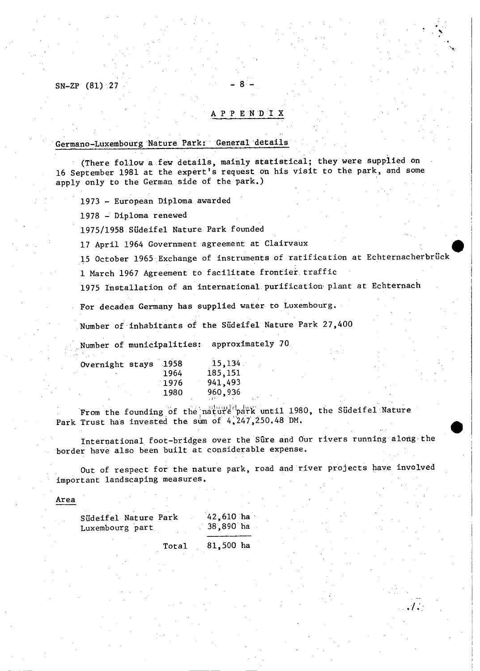SN-ZP (81) 27

#### A P P E N D I X

Germano-Luxemboürg Nature Park: General details

(There follow a few details, mainly statistical; they were supplied on 16 September 1981 at the expert's request oh his visit to the park, and some apply only to the German side of the park.)

1973 - European Diploma awarded

1978 - Diploma renewed

1975/1958 Südeifel Nature Park founded

17 April 1964 Government agreement at Clairvaux

15 October 1965 Exchange of instruments of ratification at Echternacherbrück

1 March 1967 Agreement to facilitate frontier, traffic

1975 Installation of an international purification plant at Echternach

For decades Germany has supplied water to Luxembourg.

Number of inhabitants of the Südeifel Nature Park 27,400

Number of municipalities: approximately 70

| Overnight stays 1958 |      | 15,134   |
|----------------------|------|----------|
|                      | 1964 | 185, 151 |
|                      | 1976 | 941,493  |
|                      | 1980 | 960,936  |
|                      |      |          |

From the founding of the nature park until 1980, the Südeifel Nature Park Trust has invested the sum of 4,247,250.48 DM.

International foot-bridges over the Sûre and Our rivers running along the border have also been built at considerable expense.

Out of respect for the nature park, road and river projects have involved important landscaping measures.

Area

| Südeifel Nature Park | $42,610$ ha |
|----------------------|-------------|
| Luxembourg part      | 38,890 ha   |

Total 81,500 ha